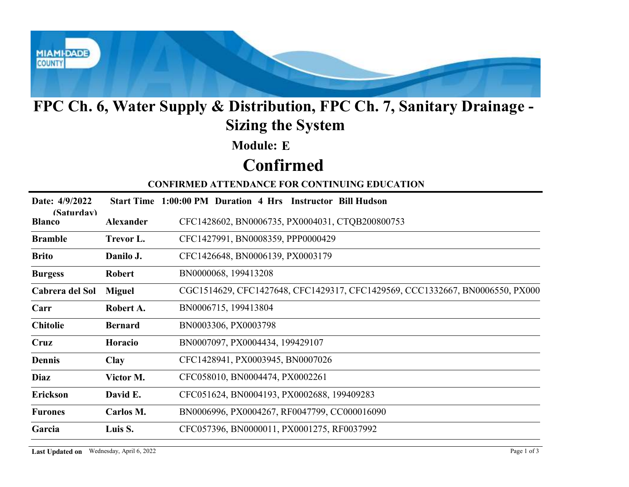

## FPC Ch. 6, Water Supply & Distribution, FPC Ch. 7, Sanitary Drainage - Sizing the System

# Confirmed

|                             | FPC Ch. 6, Water Supply & Distribution, FPC Ch. 7, Sanitary Drainage -<br><b>Sizing the System</b> |                                                                              |  |  |  |  |
|-----------------------------|----------------------------------------------------------------------------------------------------|------------------------------------------------------------------------------|--|--|--|--|
|                             |                                                                                                    | <b>Module: E</b>                                                             |  |  |  |  |
|                             |                                                                                                    | <b>Confirmed</b>                                                             |  |  |  |  |
|                             |                                                                                                    | <b>CONFIRMED ATTENDANCE FOR CONTINUING EDUCATION</b>                         |  |  |  |  |
| Date: 4/9/2022              |                                                                                                    | Start Time 1:00:00 PM Duration 4 Hrs Instructor Bill Hudson                  |  |  |  |  |
| (Saturdav)<br><b>Blanco</b> | <b>Alexander</b>                                                                                   | CFC1428602, BN0006735, PX0004031, CTQB200800753                              |  |  |  |  |
| <b>Bramble</b>              | Trevor L.                                                                                          | CFC1427991, BN0008359, PPP0000429                                            |  |  |  |  |
| <b>Brito</b>                | Danilo J.                                                                                          | CFC1426648, BN0006139, PX0003179                                             |  |  |  |  |
| <b>Burgess</b>              | <b>Robert</b>                                                                                      | BN0000068, 199413208                                                         |  |  |  |  |
| Cabrera del Sol             | <b>Miguel</b>                                                                                      | CGC1514629, CFC1427648, CFC1429317, CFC1429569, CCC1332667, BN0006550, PX000 |  |  |  |  |
| Carr                        | Robert A.                                                                                          | BN0006715, 199413804                                                         |  |  |  |  |
| <b>Chitolie</b>             | <b>Bernard</b>                                                                                     | BN0003306, PX0003798                                                         |  |  |  |  |
| Cruz                        | Horacio                                                                                            | BN0007097, PX0004434, 199429107                                              |  |  |  |  |
| <b>Dennis</b>               | <b>Clay</b>                                                                                        | CFC1428941, PX0003945, BN0007026                                             |  |  |  |  |
| Diaz                        | Victor M.                                                                                          | CFC058010, BN0004474, PX0002261                                              |  |  |  |  |
| Erickson                    | David E.                                                                                           | CFC051624, BN0004193, PX0002688, 199409283                                   |  |  |  |  |
| <b>Furones</b>              | Carlos M.                                                                                          | BN0006996, PX0004267, RF0047799, CC000016090                                 |  |  |  |  |
| Garcia                      | Luis S.                                                                                            | CFC057396, BN0000011, PX0001275, RF0037992                                   |  |  |  |  |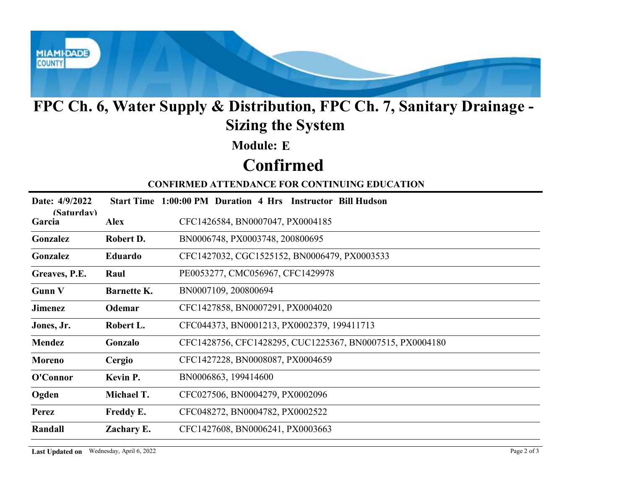

# FPC Ch. 6, Water Supply & Distribution, FPC Ch. 7, Sanitary Drainage - Sizing the System

# Confirmed

#### CONFIRMED ATTENDANCE FOR CONTINUING EDUCATION

| FPC Ch. 6, Water Supply & Distribution, FPC Ch. 7, Sanitary Drainage -<br><b>Sizing the System</b> |                    |                                                             |  |  |
|----------------------------------------------------------------------------------------------------|--------------------|-------------------------------------------------------------|--|--|
|                                                                                                    |                    | <b>Module: E</b>                                            |  |  |
|                                                                                                    |                    | <b>Confirmed</b>                                            |  |  |
|                                                                                                    |                    | <b>CONFIRMED ATTENDANCE FOR CONTINUING EDUCATION</b>        |  |  |
| Date: 4/9/2022                                                                                     |                    | Start Time 1:00:00 PM Duration 4 Hrs Instructor Bill Hudson |  |  |
| (Saturdav)<br>Garcia                                                                               | <b>Alex</b>        | CFC1426584, BN0007047, PX0004185                            |  |  |
| Gonzalez                                                                                           | Robert D.          | BN0006748, PX0003748, 200800695                             |  |  |
| Gonzalez                                                                                           | Eduardo            | CFC1427032, CGC1525152, BN0006479, PX0003533                |  |  |
| Greaves, P.E.                                                                                      | Raul               | PE0053277, CMC056967, CFC1429978                            |  |  |
| <b>Gunn V</b>                                                                                      | <b>Barnette K.</b> | BN0007109, 200800694                                        |  |  |
| <b>Jimenez</b>                                                                                     | Odemar             | CFC1427858, BN0007291, PX0004020                            |  |  |
| Jones, Jr.                                                                                         | Robert L.          | CFC044373, BN0001213, PX0002379, 199411713                  |  |  |
| <b>Mendez</b>                                                                                      | Gonzalo            | CFC1428756, CFC1428295, CUC1225367, BN0007515, PX0004180    |  |  |
| <b>Moreno</b>                                                                                      | Cergio             | CFC1427228, BN0008087, PX0004659                            |  |  |
| O'Connor                                                                                           | Kevin P.           | BN0006863, 199414600                                        |  |  |
| Ogden                                                                                              | Michael T.         | CFC027506, BN0004279, PX0002096                             |  |  |
| Perez                                                                                              | Freddy E.          | CFC048272, BN0004782, PX0002522                             |  |  |
| Randall                                                                                            | Zachary E.         | CFC1427608, BN0006241, PX0003663                            |  |  |